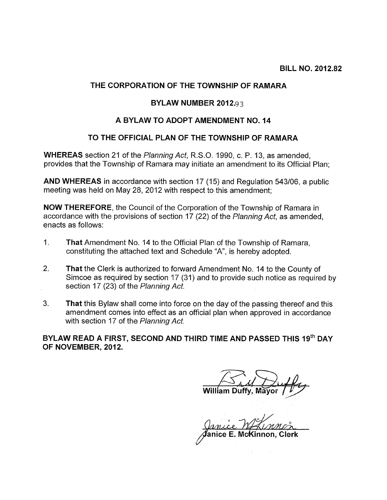# THE CORPORATION OF THE TOWNSHIP OF RAMARA

#### BYLAW NUMBER 2012.93

#### A BYLAW TO ADOPT AMENDMENT NO. 14

### TO THE OFFICIAL PLAN OF THE TOWNSHIP OF RAMARA

WHEREAS section 21 of the Planning Act, R.S.O. 1990, c. P. 13, as amended, provides that the Township of Ramara may initiate an amendment to its Official Plan;

AND WHEREAS in accordance with section 17 (15) and Regulation 543/06, a public meeting was held on May 28, 2012 with respect to this amendment;

NOW THEREFORE, the Council of the Corporation of the Township of Ramara in accordance with the provisions of section 17 (22) of the Planning Act, as amended, enacts as follows:

- 1. That Amendment No. 14 to the Official Plan of the Township of Ramara, constituting the attached text and Schedule "A", is hereby adopted.
- 2. That the Clerk is authorized to forward Amendment No. 14 to the County of Simcoe as required by section 17 (31) and to provide such notice as required by section 17 (23) of the Planning Act.
- 3. That this Bylaw shall come into force on the day of the passing thereof and this amendment comes into effect as an official plan when approved in accordance with section 17 of the Planning Act.

BYLAW READ A FIRST, SECOND AND THIRD TIME AND PASSED THIS 19th DAY OF NOVEMBER, 2012.

William Duffy, Mayor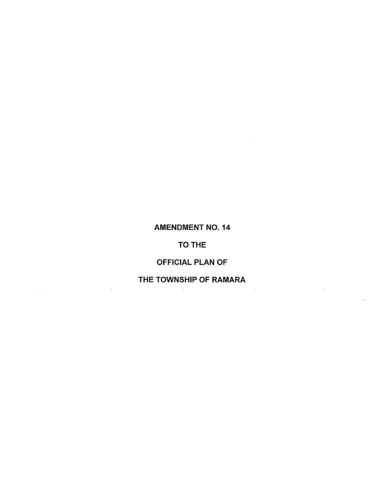# AMENDMENT NO. 14

# TO THE

# OFFICIAL PLAN OF

# THE TOWNSHIP OF RAMARA

 $\bar{z}$ 

 $\sim$ 

 $\epsilon$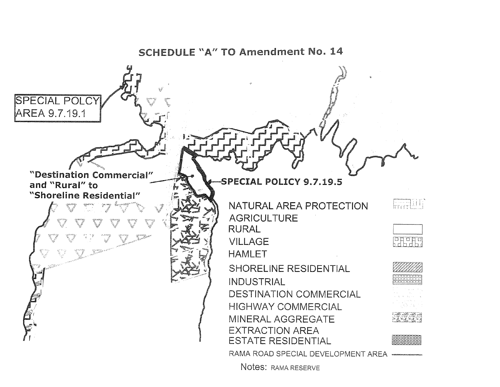

Notes: RAMA RESERVE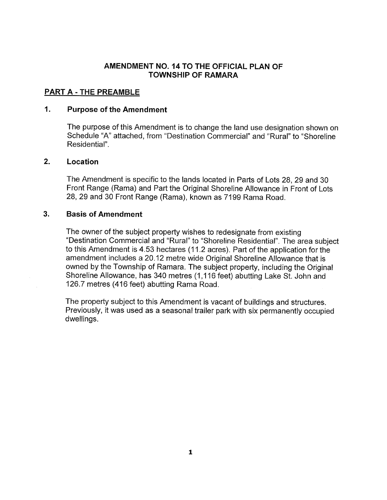### AMENDMENT NO. 14 TO THE OFFICIAL PLAN OF TOWNSHIP OF RAMARA

#### PART A - THE PREAMBLE

#### $\mathbf 1$ Purpose of the Amendment

The purpose of this Amendment is to change the land use designation shown on Schedule "A" attached, from "Destination Commercial" and "Rural" to "Shoreline Residential".

#### 2. Location

The Amendment is specific to the lands located in Parts of Lots 28, 29 and 30 Front Range (Rama) and Part the Original Shoreline Allowance in Front of Lots 28, 29 and 30 Front Range (Rama), known as 7199 Rama Road.

#### 3. Basis of Amendment

The owner of the subject property wishes to redesignate from existing "Destination Commercial and "Rural" to "Shoreline Residential". The area subject to this Amendment is 4.53 hectares (11.2 acres). Part of the application for the amendment includes a 20.12 metre wide Original Shoreline Allowance that is owned by the Township of Ramara. The subject property, including the Original Shoreline Allowance, has 340 metres (1,116 feet) abutting Lake St. John and 126.7 metres (416 feet) abutting Rama Road.

The property subject to this Amendment is vacant of buildings and structures. Previously, it was used as a seasonal trailer park with six permanently occupied dwellings.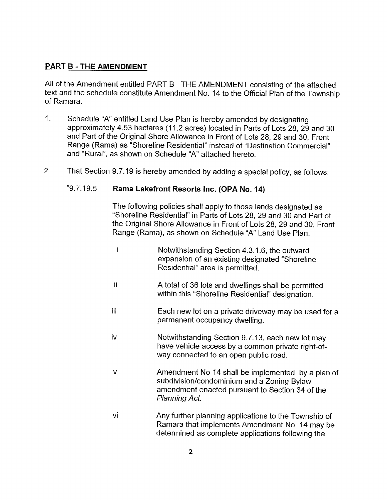## PART B - THE AMENDMENT

All of the Amendment entitled PART B - THE AMENDMENT consisting of the attached text and the schedule constitute Amendment No. 14 to the Official Plan of the Township of Ramara.

- $1.$ Schedule "A" entitled Land Use Plan is hereby amended by designating approximately 4.53 hectares (11.2 acres) located in Parts of Lots 28, 29 and 30 and Part of the Original Shore Allowance in Front of Lots 28, 29 and 30, Front Range (Rama) as "Shoreline Residential" instead of "Destination Commercial" and "Rural", as shown on Schedule "A" attached hereto.
- 2. That Section 9.7.19 is hereby amended by adding a special policy, as follows:

## "9.7.19.5 Rama Lakefront Resorts Inc. (OPA No. 14)

The following policies shall apply to those lands designated as "Shoreline Residential" in Parts of Lots 28, 29 and 30 and Part of the Original Shore Allowance in Front of Lots 28, 29 and 30, Front Range (Rama), as shown on Schedule "A" Land Use Plan.

- $\mathbf{i}$ Notwithstanding Section 4.3.1.6, the outward expansion of an existing designated "Shoreline Residential" area is permitted.
- ii A total of 36 lots and dwellings shall be permitted within this "Shoreline Residential" designation.
- iii Each new lot on a private driveway may be used for a permanent occupancy dwelling.
- iv Notwithstanding Section 9.7.13, each new lot may have vehicle access by a common private right-ofway connected to an open public road.
- v Amendment No 14 shall be implemented by a plan of subdivision/condominium and a Zoning Bylaw amendment enacted pursuant to Section 34 of the Planning Act.
- vi Any further planning applications to the Township of Ramara that implements Amendment No. 14 may be determined as complete applications following the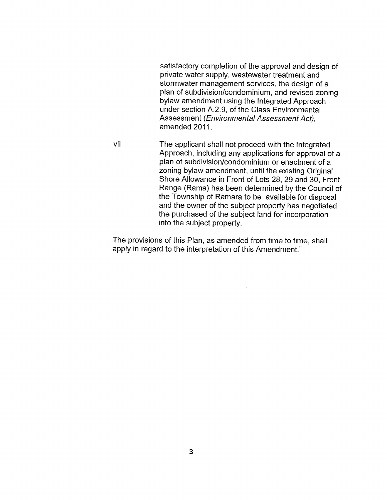satisfactory completion of the approval and design of private water supply, wastewater treatment and stormwater management services, the design of a plan of subdivision/condominium, and revised zoning bylaw amendment using the Integrated Approach under section A.2.9, of the Class Environmental Assessment (Environmental Assessment Act), amended 2011.

vii The applicant shall not proceed with the Integrated Approach, including any applications for approval of a plan of subdivision/condominium or enactment of a zoning bylaw amendment, until the existing Original Shore Allowance in Front of Lots 28, 29 and 30, Front Range (Rama) has been determined by the Council of the Township of Ramara to be available for disposal and the owner of the subject property has negotiated the purchased of the subject land for incorporation into the subject property.

 $\sim 10^{-11}$ 

The provisions of this Plan, as amended from time to time, shall apply in regard to the interpretation of this Amendment."